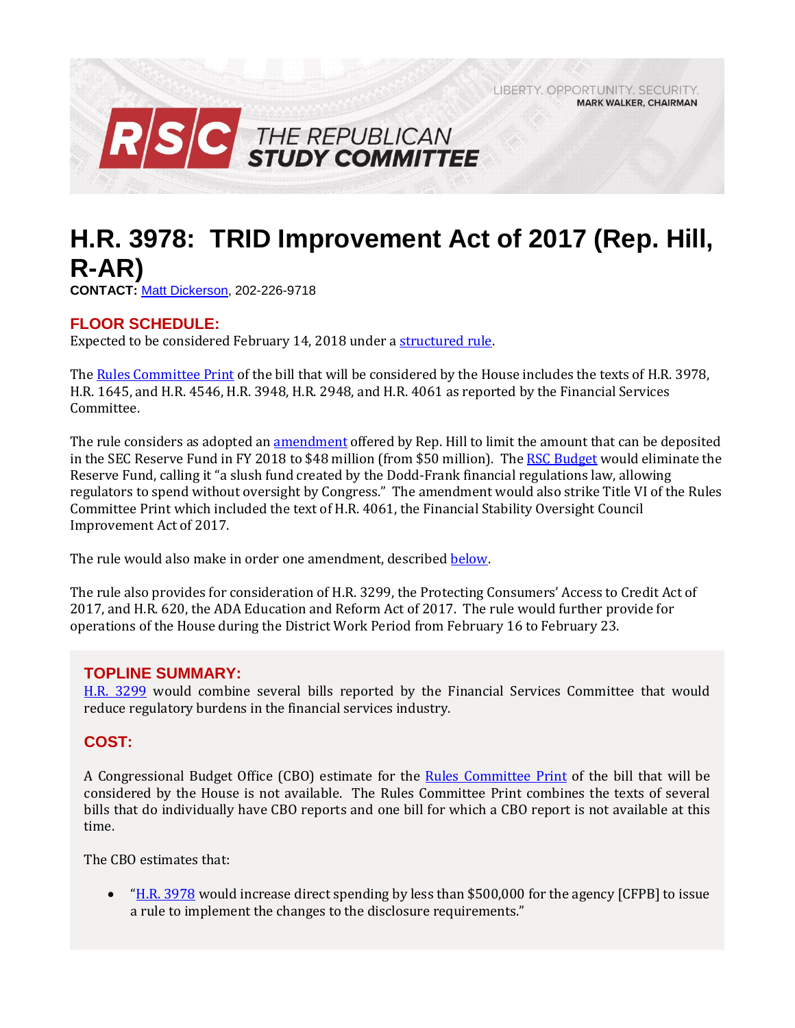LIBERTY, OPPORTUNITY, SECURITY, **MARK WALKER, CHAIRMAN** 



# **H.R. 3978: TRID Improvement Act of 2017 (Rep. Hill, R-AR)**

**CONTACT:** [Matt Dickerson,](mailto:Matthew.Dickerson@mail.house.gov) 202-226-9718

## **FLOOR SCHEDULE:**

Expected to be considered February 14, 2018 under a [structured rule.](https://rules.house.gov/bill/115/hr-3978)

Th[e Rules Committee](http://docs.house.gov/billsthisweek/20180212/BILLS-%20115SAHR3978HR1645HR4546HR3948HR2948HR4061-RCP115-59.pdf) Print of the bill that will be considered by the House includes the texts of H.R. 3978, H.R. 1645, and H.R. 4546, H.R. 3948, H.R. 2948, and H.R. 4061 as reported by the Financial Services Committee.

The rule considers as adopted an **amendment** offered by Rep. Hill to limit the amount that can be deposited in the SEC Reserve Fund in FY 2018 to \$48 million (from \$50 million). The [RSC Budget](https://rsc-walker.house.gov/sites/republicanstudycommittee.house.gov/files/Initiatives/SecuringAmericasFutureEconomyRSCFY2018Budget.pdf#page=140) would eliminate the Reserve Fund, calling it "a slush fund created by the Dodd-Frank financial regulations law, allowing regulators to spend without oversight by Congress." The amendment would also strike Title VI of the Rules Committee Print which included the text of H.R. 4061, the Financial Stability Oversight Council Improvement Act of 2017.

The rule would also make in order one amendment, described [below.](#page-2-0)

The rule also provides for consideration of H.R. 3299, the Protecting Consumers' Access to Credit Act of 2017, and H.R. 620, the ADA Education and Reform Act of 2017. The rule would further provide for operations of the House during the District Work Period from February 16 to February 23.

### **TOPLINE SUMMARY:**

[H.R. 3299](http://docs.house.gov/billsthisweek/20180212/BILLS-%20115SAHR3978HR1645HR4546HR3948HR2948HR4061-RCP115-59.pdf) would combine several bills reported by the Financial Services Committee that would reduce regulatory burdens in the financial services industry.

## **COST:**

A Congressional Budget Office (CBO) estimate for the [Rules Committee Print](http://docs.house.gov/billsthisweek/20180212/BILLS-%20115SAHR3978HR1645HR4546HR3948HR2948HR4061-RCP115-59.pdf) of the bill that will be considered by the House is not available. The Rules Committee Print combines the texts of several bills that do individually have CBO reports and one bill for which a CBO report is not available at this time.

The CBO estimates that:

 "[H.R. 3978](https://www.cbo.gov/system/files/115th-congress-2017-2018/costestimate/hr3978.pdf) would increase direct spending by less than \$500,000 for the agency [CFPB] to issue a rule to implement the changes to the disclosure requirements."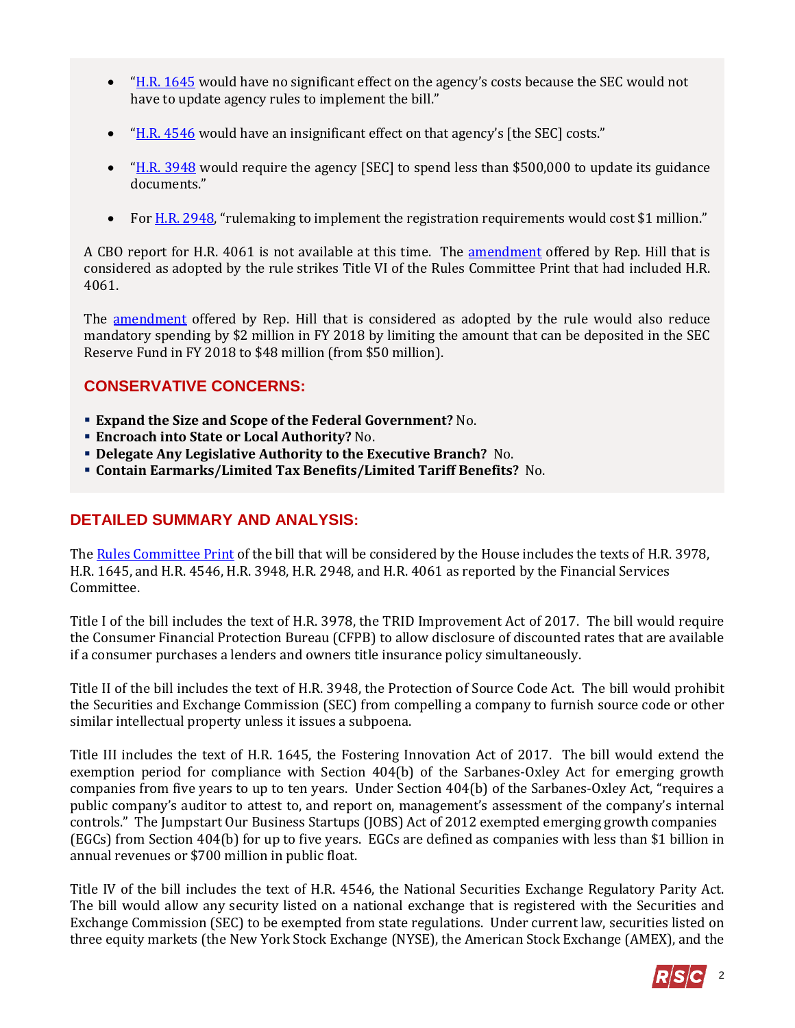- "[H.R. 1645](https://www.cbo.gov/system/files/115th-congress-2017-2018/costestimate/hr1645.pdf) would have no significant effect on the agency's costs because the SEC would not have to update agency rules to implement the bill."
- "H.R.  $4546$  would have an insignificant effect on that agency's [the SEC] costs."
- $H.R. 3948$  would require the agency [SEC] to spend less than \$500,000 to update its guidance documents."
- Fo[r H.R. 2948](https://www.cbo.gov/system/files/115th-congress-2017-2018/costestimate/hr2948.pdf), "rulemaking to implement the registration requirements would cost \$1 million."

A CBO report for H.R. 4061 is not available at this time. The [amendment](https://amendments-rules.house.gov/amendments/HR3978Amend21218100347347.pdf) offered by Rep. Hill that is considered as adopted by the rule strikes Title VI of the Rules Committee Print that had included H.R. 4061.

The **amendment** offered by Rep. Hill that is considered as adopted by the rule would also reduce mandatory spending by \$2 million in FY 2018 by limiting the amount that can be deposited in the SEC Reserve Fund in FY 2018 to \$48 million (from \$50 million).

# **CONSERVATIVE CONCERNS:**

- **Expand the Size and Scope of the Federal Government?** No.
- **Encroach into State or Local Authority?** No.
- **Delegate Any Legislative Authority to the Executive Branch?** No.
- **Contain Earmarks/Limited Tax Benefits/Limited Tariff Benefits?** No.

# **DETAILED SUMMARY AND ANALYSIS:**

Th[e Rules Committee Print](http://docs.house.gov/billsthisweek/20180212/BILLS-%20115SAHR3978HR1645HR4546HR3948HR2948HR4061-RCP115-59.pdf) of the bill that will be considered by the House includes the texts of H.R. 3978, H.R. 1645, and H.R. 4546, H.R. 3948, H.R. 2948, and H.R. 4061 as reported by the Financial Services Committee.

Title I of the bill includes the text of H.R. 3978, the TRID Improvement Act of 2017. The bill would require the Consumer Financial Protection Bureau (CFPB) to allow disclosure of discounted rates that are available if a consumer purchases a lenders and owners title insurance policy simultaneously.

Title II of the bill includes the text of H.R. 3948, the Protection of Source Code Act. The bill would prohibit the Securities and Exchange Commission (SEC) from compelling a company to furnish source code or other similar intellectual property unless it issues a subpoena.

Title III includes the text of H.R. 1645, the Fostering Innovation Act of 2017. The bill would extend the exemption period for compliance with Section 404(b) of the Sarbanes-Oxley Act for emerging growth companies from five years to up to ten years. Under Section 404(b) of the Sarbanes-Oxley Act, "requires a public company's auditor to attest to, and report on, management's assessment of the company's internal controls." The Jumpstart Our Business Startups (JOBS) Act of 2012 exempted emerging growth companies (EGCs) from Section 404(b) for up to five years. EGCs are defined as companies with less than \$1 billion in annual revenues or \$700 million in public float.

Title IV of the bill includes the text of H.R. 4546, the National Securities Exchange Regulatory Parity Act. The bill would allow any security listed on a national exchange that is registered with the Securities and Exchange Commission (SEC) to be exempted from state regulations. Under current law, securities listed on three equity markets (the New York Stock Exchange (NYSE), the American Stock Exchange (AMEX), and the

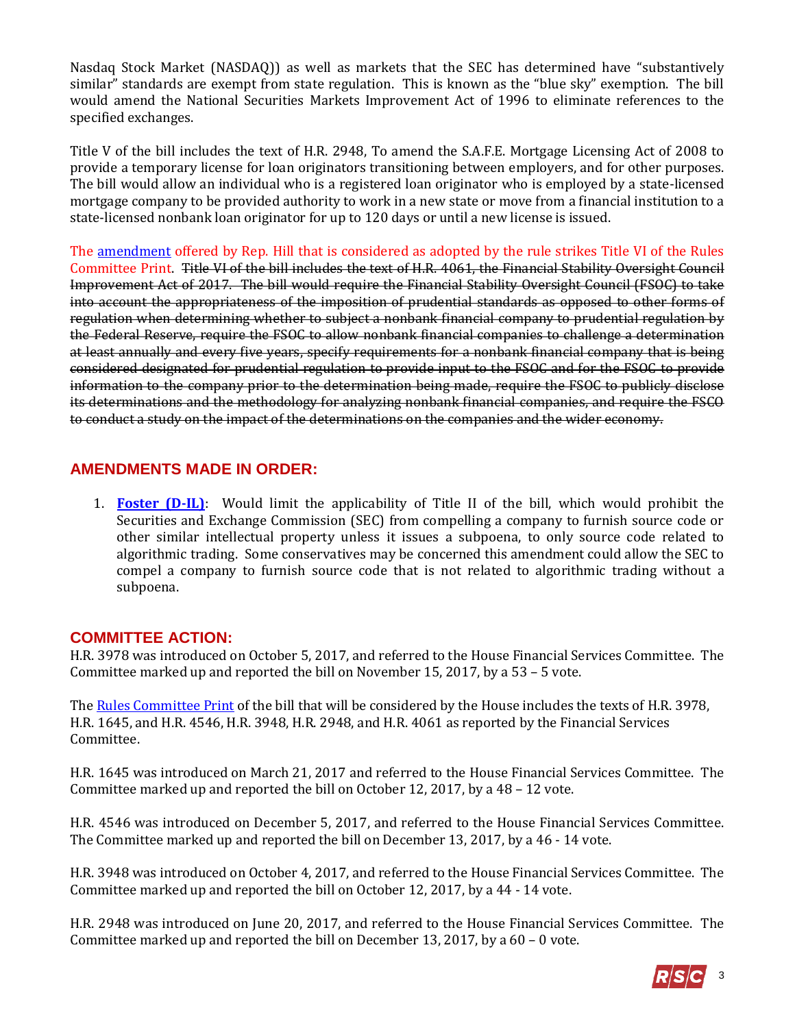Nasdaq Stock Market (NASDAQ)) as well as markets that the SEC has determined have "substantively similar" standards are exempt from state regulation. This is known as the "blue sky" exemption. The bill would amend the National Securities Markets Improvement Act of 1996 to eliminate references to the specified exchanges.

Title V of the bill includes the text of H.R. 2948, To amend the S.A.F.E. Mortgage Licensing Act of 2008 to provide a temporary license for loan originators transitioning between employers, and for other purposes. The bill would allow an individual who is a registered loan originator who is employed by a state-licensed mortgage company to be provided authority to work in a new state or move from a financial institution to a state-licensed nonbank loan originator for up to 120 days or until a new license is issued.

The [amendment](https://amendments-rules.house.gov/amendments/HR3978Amend21218100347347.pdf) offered by Rep. Hill that is considered as adopted by the rule strikes Title VI of the Rules Committee Print. Title VI of the bill includes the text of H.R. 4061, the Financial Stability Oversight Council Improvement Act of 2017. The bill would require the Financial Stability Oversight Council (FSOC) to take into account the appropriateness of the imposition of prudential standards as opposed to other forms of regulation when determining whether to subject a nonbank financial company to prudential regulation by the Federal Reserve, require the FSOC to allow nonbank financial companies to challenge a determination at least annually and every five years, specify requirements for a nonbank financial company that is being considered designated for prudential regulation to provide input to the FSOC and for the FSOC to provide information to the company prior to the determination being made, require the FSOC to publicly disclose its determinations and the methodology for analyzing nonbank financial companies, and require the FSCO to conduct a study on the impact of the determinations on the companies and the wider economy.

## <span id="page-2-0"></span>**AMENDMENTS MADE IN ORDER:**

1. **[Foster \(D-IL\)](https://amendments-rules.house.gov/amendments/FOSTER_078_xml%20(2)212181422512251.pdf)**: Would limit the applicability of Title II of the bill, which would prohibit the Securities and Exchange Commission (SEC) from compelling a company to furnish source code or other similar intellectual property unless it issues a subpoena, to only source code related to algorithmic trading. Some conservatives may be concerned this amendment could allow the SEC to compel a company to furnish source code that is not related to algorithmic trading without a subpoena.

## **COMMITTEE ACTION:**

H.R. 3978 was introduced on October 5, 2017, and referred to the House Financial Services Committee. The Committee marked up and reported the bill on November 15, 2017, by a 53 – 5 vote.

Th[e Rules Committee Print](http://docs.house.gov/billsthisweek/20180212/BILLS-%20115SAHR3978HR1645HR4546HR3948HR2948HR4061-RCP115-59.pdf) of the bill that will be considered by the House includes the texts of H.R. 3978, H.R. 1645, and H.R. 4546, H.R. 3948, H.R. 2948, and H.R. 4061 as reported by the Financial Services Committee.

H.R. 1645 was introduced on March 21, 2017 and referred to the House Financial Services Committee. The Committee marked up and reported the bill on October 12, 2017, by a 48 – 12 vote.

H.R. 4546 was introduced on December 5, 2017, and referred to the House Financial Services Committee. The Committee marked up and reported the bill on December 13, 2017, by a 46 - 14 vote.

H.R. 3948 was introduced on October 4, 2017, and referred to the House Financial Services Committee. The Committee marked up and reported the bill on October 12, 2017, by a 44 - 14 vote.

H.R. 2948 was introduced on June 20, 2017, and referred to the House Financial Services Committee. The Committee marked up and reported the bill on December 13, 2017, by a 60 – 0 vote.